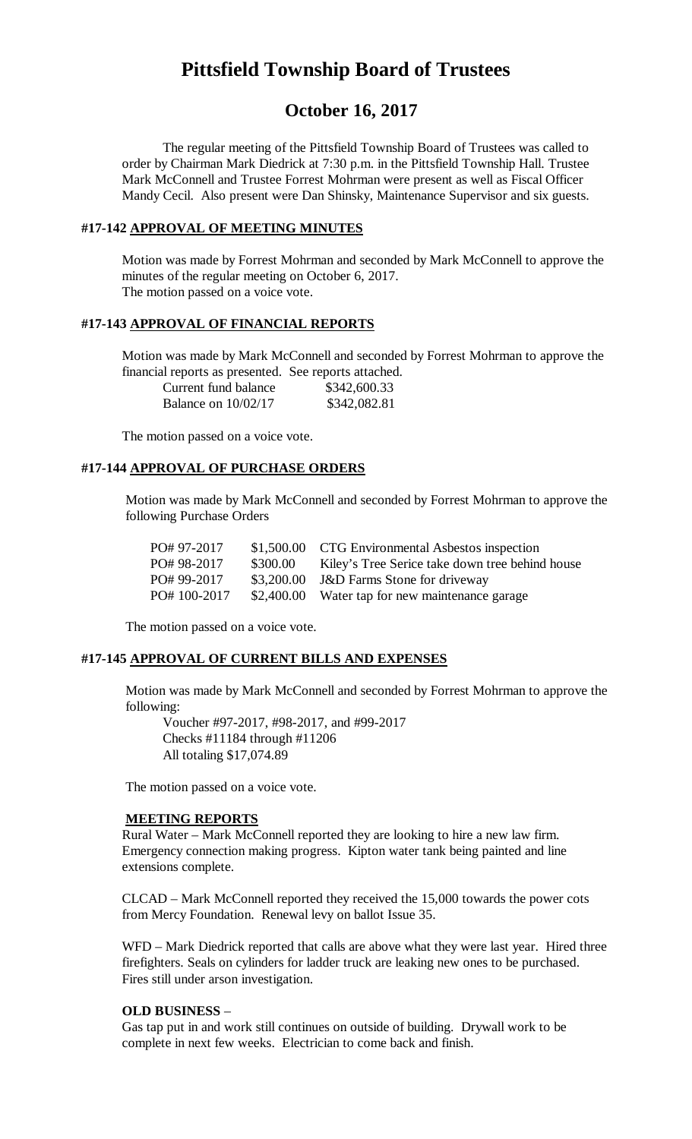# **Pittsfield Township Board of Trustees**

## **October 16, 2017**

The regular meeting of the Pittsfield Township Board of Trustees was called to order by Chairman Mark Diedrick at 7:30 p.m. in the Pittsfield Township Hall. Trustee Mark McConnell and Trustee Forrest Mohrman were present as well as Fiscal Officer Mandy Cecil. Also present were Dan Shinsky, Maintenance Supervisor and six guests.

#### **#17-142 APPROVAL OF MEETING MINUTES**

Motion was made by Forrest Mohrman and seconded by Mark McConnell to approve the minutes of the regular meeting on October 6, 2017. The motion passed on a voice vote.

#### **#17-143 APPROVAL OF FINANCIAL REPORTS**

Motion was made by Mark McConnell and seconded by Forrest Mohrman to approve the financial reports as presented. See reports attached.

| Current fund balance  | \$342,600.33 |
|-----------------------|--------------|
| Balance on $10/02/17$ | \$342,082.81 |

The motion passed on a voice vote.

#### **#17-144 APPROVAL OF PURCHASE ORDERS**

Motion was made by Mark McConnell and seconded by Forrest Mohrman to approve the following Purchase Orders

| PO# 97-2017 |            | \$1,500.00 CTG Environmental Asbestos inspection |
|-------------|------------|--------------------------------------------------|
| PO# 98-2017 | \$300.00   | Kiley's Tree Serice take down tree behind house  |
| PO# 99-2017 | \$3,200.00 | <b>J&amp;D</b> Farms Stone for driveway          |
| PO#100-2017 |            | \$2,400.00 Water tap for new maintenance garage  |

The motion passed on a voice vote.

#### **#17-145 APPROVAL OF CURRENT BILLS AND EXPENSES**

Motion was made by Mark McConnell and seconded by Forrest Mohrman to approve the following:

Voucher #97-2017, #98-2017, and #99-2017 Checks #11184 through #11206 All totaling \$17,074.89

The motion passed on a voice vote.

#### **MEETING REPORTS**

Rural Water – Mark McConnell reported they are looking to hire a new law firm. Emergency connection making progress. Kipton water tank being painted and line extensions complete.

CLCAD – Mark McConnell reported they received the 15,000 towards the power cots from Mercy Foundation. Renewal levy on ballot Issue 35.

WFD – Mark Diedrick reported that calls are above what they were last year. Hired three firefighters. Seals on cylinders for ladder truck are leaking new ones to be purchased. Fires still under arson investigation.

#### **OLD BUSINESS** –

Gas tap put in and work still continues on outside of building. Drywall work to be complete in next few weeks. Electrician to come back and finish.